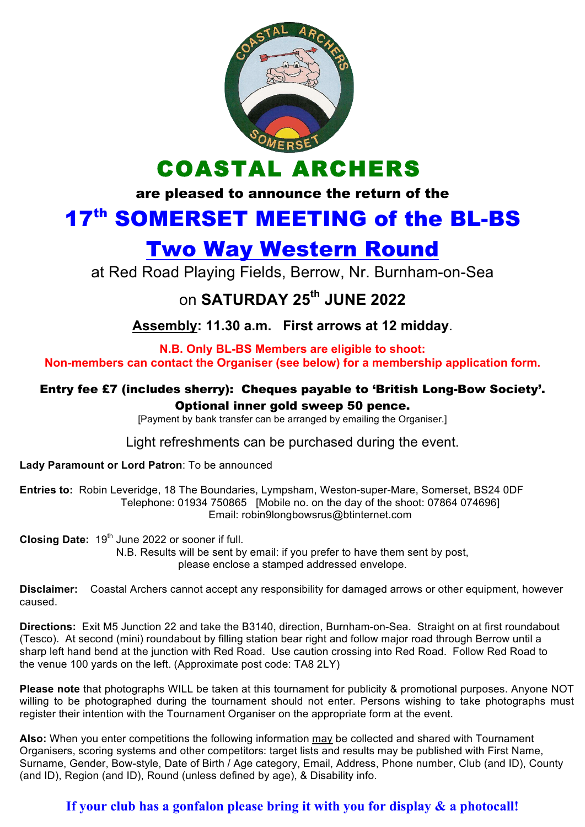

COASTAL ARCHERS

are pleased to announce the return of the

# 17<sup>th</sup> SOMERSET MEETING of the BL-BS

# Two Way Western Round

at Red Road Playing Fields, Berrow, Nr. Burnham-on-Sea

## on **SATURDAY 25th JUNE 2022**

**Assembly: 11.30 a.m. First arrows at 12 midday**.

**N.B. Only BL-BS Members are eligible to shoot: Non-members can contact the Organiser (see below) for a membership application form.**

#### Entry fee £7 (includes sherry): Cheques payable to 'British Long-Bow Society'. Optional inner gold sweep 50 pence.

[Payment by bank transfer can be arranged by emailing the Organiser.]

Light refreshments can be purchased during the event.

**Lady Paramount or Lord Patron**: To be announced

**Entries to:** Robin Leveridge, 18 The Boundaries, Lympsham, Weston-super-Mare, Somerset, BS24 0DF Telephone: 01934 750865 [Mobile no. on the day of the shoot: 07864 074696] Email: robin9longbowsrus@btinternet.com

**Closing Date:** 19<sup>th</sup> June 2022 or sooner if full. N.B. Results will be sent by email: if you prefer to have them sent by post, please enclose a stamped addressed envelope.

**Disclaimer:** Coastal Archers cannot accept any responsibility for damaged arrows or other equipment, however caused.

**Directions:** Exit M5 Junction 22 and take the B3140, direction, Burnham-on-Sea. Straight on at first roundabout (Tesco). At second (mini) roundabout by filling station bear right and follow major road through Berrow until a sharp left hand bend at the junction with Red Road. Use caution crossing into Red Road. Follow Red Road to the venue 100 yards on the left. (Approximate post code: TA8 2LY)

**Please note** that photographs WILL be taken at this tournament for publicity & promotional purposes. Anyone NOT willing to be photographed during the tournament should not enter. Persons wishing to take photographs must register their intention with the Tournament Organiser on the appropriate form at the event.

**Also:** When you enter competitions the following information may be collected and shared with Tournament Organisers, scoring systems and other competitors: target lists and results may be published with First Name, Surname, Gender, Bow-style, Date of Birth / Age category, Email, Address, Phone number, Club (and ID), County (and ID), Region (and ID), Round (unless defined by age), & Disability info.

### **If your club has a gonfalon please bring it with you for display & a photocall!**